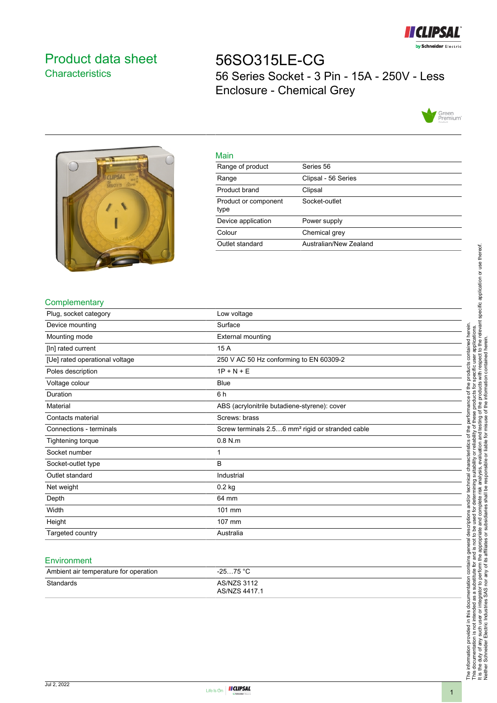

# <span id="page-0-0"></span>Product data sheet **Characteristics**

56SO315LE-CG 56 Series Socket - 3 Pin - 15A - 250V - Less Enclosure - Chemical Grey





| Main                         |                        |
|------------------------------|------------------------|
| Range of product             | Series 56              |
| Range                        | Clipsal - 56 Series    |
| Product brand                | Clipsal                |
| Product or component<br>type | Socket-outlet          |
| Device application           | Power supply           |
| Colour                       | Chemical grey          |
| Outlet standard              | Australian/New Zealand |

## **Complementary**

| Plug, socket category          | Low voltage                                                  |
|--------------------------------|--------------------------------------------------------------|
| Device mounting                | Surface                                                      |
| Mounting mode                  | External mounting                                            |
| [In] rated current             | 15 A                                                         |
| [Ue] rated operational voltage | 250 V AC 50 Hz conforming to EN 60309-2                      |
| Poles description              | $1P + N + E$                                                 |
| Voltage colour                 | <b>Blue</b>                                                  |
| Duration                       | 6 h                                                          |
| Material                       | ABS (acrylonitrile butadiene-styrene): cover                 |
| Contacts material              | Screws: brass                                                |
| Connections - terminals        | Screw terminals 2.56 mm <sup>2</sup> rigid or stranded cable |
| Tightening torque              | $0.8$ N.m.                                                   |
| Socket number                  | 1                                                            |
| Socket-outlet type             | B                                                            |
| Outlet standard                | Industrial                                                   |
| Net weight                     | $0.2$ kg                                                     |
| Depth                          | 64 mm                                                        |
| Width                          | 101 mm                                                       |
| Height                         | 107 mm                                                       |
| Targeted country               | Australia                                                    |

#### **Environment**

| Ambient air temperature for operation | -25…75 °C                           |
|---------------------------------------|-------------------------------------|
| Standards                             | <b>AS/NZS 3112</b><br>AS/NZS 4417.1 |